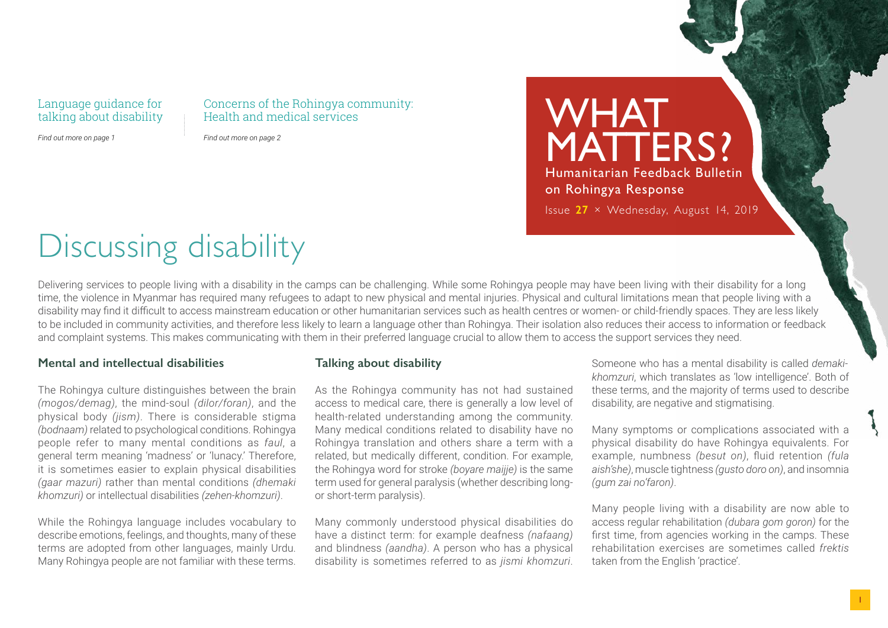#### Language guidance for talking about disability

Concerns of the Rohingya community: Health and medical services

*Find out more on page 1*

*Find out more on page 2*

MATTERS? Humanitarian Feedback Bulletin on Rohingya Response Issue **27** × Wednesday, August 14, 2019

WHAT.

# Discussing disability

Delivering services to people living with a disability in the camps can be challenging. While some Rohingya people may have been living with their disability for a long time, the violence in Myanmar has required many refugees to adapt to new physical and mental injuries. Physical and cultural limitations mean that people living with a disability may find it difficult to access mainstream education or other humanitarian services such as health centres or women- or child-friendly spaces. They are less likely to be included in community activities, and therefore less likely to learn a language other than Rohingya. Their isolation also reduces their access to information or feedback and complaint systems. This makes communicating with them in their preferred language crucial to allow them to access the support services they need.

#### **Mental and intellectual disabilities**

The Rohingya culture distinguishes between the brain *(mogos/demag)*, the mind-soul *(dilor/foran)*, and the physical body *(jism)*. There is considerable stigma *(bodnaam)* related to psychological conditions. Rohingya people refer to many mental conditions as *faul*, a general term meaning 'madness' or 'lunacy.' Therefore, it is sometimes easier to explain physical disabilities *(gaar mazuri)* rather than mental conditions *(dhemaki khomzuri)* or intellectual disabilities *(zehen-khomzuri)*.

While the Rohingya language includes vocabulary to describe emotions, feelings, and thoughts, many of these terms are adopted from other languages, mainly Urdu. Many Rohingya people are not familiar with these terms.

### **Talking about disability**

As the Rohingya community has not had sustained access to medical care, there is generally a low level of health-related understanding among the community. Many medical conditions related to disability have no Rohingya translation and others share a term with a related, but medically different, condition. For example, the Rohingya word for stroke *(boyare maijje)* is the same term used for general paralysis (whether describing longor short-term paralysis).

Many commonly understood physical disabilities do have a distinct term: for example deafness *(nafaang)* and blindness *(aandha)*. A person who has a physical disability is sometimes referred to as *jismi khomzuri*.

Someone who has a mental disability is called *demakikhomzuri*, which translates as 'low intelligence'. Both of these terms, and the majority of terms used to describe disability, are negative and stigmatising.

Many symptoms or complications associated with a physical disability do have Rohingya equivalents. For example, numbness *(besut on)*, fluid retention *(fula aish'she)*, muscle tightness *(gusto doro on)*, and insomnia *(gum zai no'faron)*.

Many people living with a disability are now able to access regular rehabilitation *(dubara gom goron)* for the first time, from agencies working in the camps. These rehabilitation exercises are sometimes called *frektis*  taken from the English 'practice'.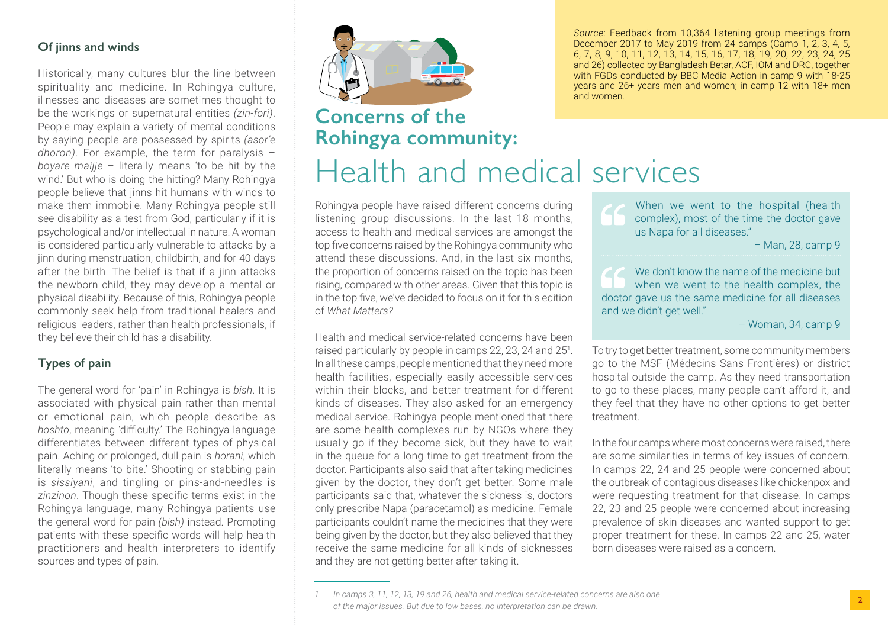### **Of jinns and winds**

Historically, many cultures blur the line between spirituality and medicine. In Rohingya culture, illnesses and diseases are sometimes thought to be the workings or supernatural entities *(zin-fori)*. People may explain a variety of mental conditions by saying people are possessed by spirits *(asor'e dhoron)*. For example, the term for paralysis – *boyare maijje* – literally means 'to be hit by the wind.' But who is doing the hitting? Many Rohingya people believe that jinns hit humans with winds to make them immobile. Many Rohingya people still see disability as a test from God, particularly if it is psychological and/or intellectual in nature. A woman is considered particularly vulnerable to attacks by a jinn during menstruation, childbirth, and for 40 days after the birth. The belief is that if a jinn attacks the newborn child, they may develop a mental or physical disability. Because of this, Rohingya people commonly seek help from traditional healers and religious leaders, rather than health professionals, if they believe their child has a disability.

## **Types of pain**

The general word for 'pain' in Rohingya is *bish*. It is associated with physical pain rather than mental or emotional pain, which people describe as *hoshto*, meaning 'difficulty.' The Rohingya language differentiates between different types of physical pain. Aching or prolonged, dull pain is *horani*, which literally means 'to bite.' Shooting or stabbing pain is *sissiyani*, and tingling or pins-and-needles is *zinzinon*. Though these specific terms exist in the Rohingya language, many Rohingya patients use the general word for pain *(bish)* instead. Prompting patients with these specific words will help health practitioners and health interpreters to identify sources and types of pain.



# **Concerns of the Rohingya community:**

Health and medical services

and women.

Rohingya people have raised different concerns during listening group discussions. In the last 18 months, access to health and medical services are amongst the top five concerns raised by the Rohingya community who attend these discussions. And, in the last six months, the proportion of concerns raised on the topic has been rising, compared with other areas. Given that this topic is in the top five, we've decided to focus on it for this edition of *What Matters?*

Health and medical service-related concerns have been raised particularly by people in camps 22, 23, 24 and 25<sup>1</sup>. In all these camps, people mentioned that they need more health facilities, especially easily accessible services within their blocks, and better treatment for different kinds of diseases. They also asked for an emergency medical service. Rohingya people mentioned that there are some health complexes run by NGOs where they usually go if they become sick, but they have to wait in the queue for a long time to get treatment from the doctor. Participants also said that after taking medicines given by the doctor, they don't get better. Some male participants said that, whatever the sickness is, doctors only prescribe Napa (paracetamol) as medicine. Female participants couldn't name the medicines that they were being given by the doctor, but they also believed that they receive the same medicine for all kinds of sicknesses and they are not getting better after taking it.

When we went to the hospital (health complex), most of the time the doctor gave us Napa for all diseases."

*Source*: Feedback from 10,364 listening group meetings from December 2017 to May 2019 from 24 camps (Camp 1, 2, 3, 4, 5, 6, 7, 8, 9, 10, 11, 12, 13, 14, 15, 16, 17, 18, 19, 20, 22, 23, 24, 25 and 26) collected by Bangladesh Betar, ACF, IOM and DRC, together with FGDs conducted by BBC Media Action in camp 9 with 18-25 years and 26+ years men and women; in camp 12 with 18+ men

– Man, 28, camp 9

We don't know the name of the medicine but when we went to the health complex, the doctor gave us the same medicine for all diseases and we didn't get well."

– Woman, 34, camp 9

To try to get better treatment, some community members go to the MSF (Médecins Sans Frontières) or district hospital outside the camp. As they need transportation to go to these places, many people can't afford it, and they feel that they have no other options to get better treatment.

In the four camps where most concerns were raised, there are some similarities in terms of key issues of concern. In camps 22, 24 and 25 people were concerned about the outbreak of contagious diseases like chickenpox and were requesting treatment for that disease. In camps 22, 23 and 25 people were concerned about increasing prevalence of skin diseases and wanted support to get proper treatment for these. In camps 22 and 25, water born diseases were raised as a concern.

*<sup>1</sup> In camps 3, 11, 12, 13, 19 and 26, health and medical service-related concerns are also one of the major issues. But due to low bases, no interpretation can be drawn.*